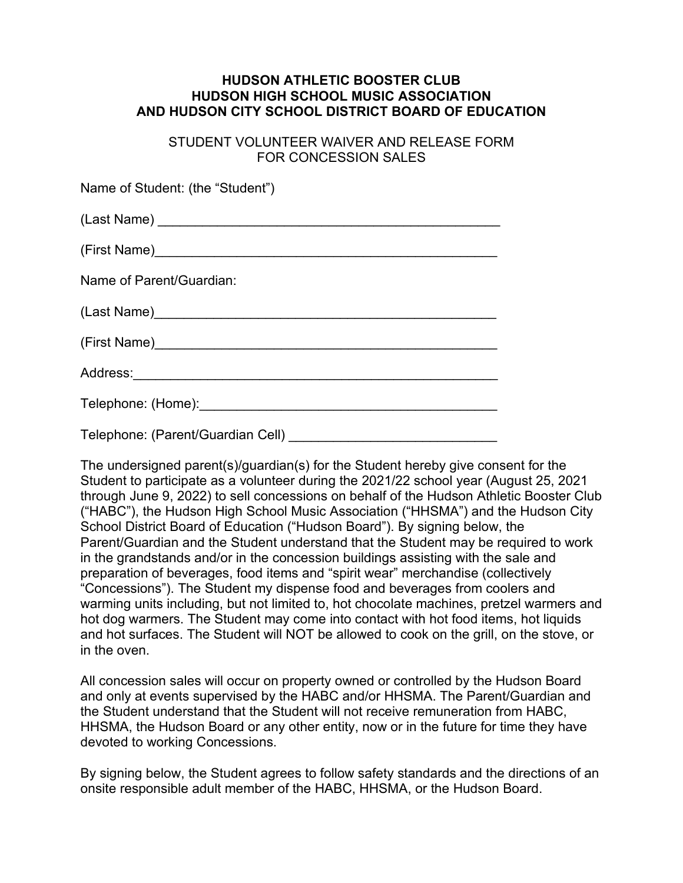## **HUDSON ATHLETIC BOOSTER CLUB HUDSON HIGH SCHOOL MUSIC ASSOCIATION AND HUDSON CITY SCHOOL DISTRICT BOARD OF EDUCATION**

STUDENT VOLUNTEER WAIVER AND RELEASE FORM FOR CONCESSION SALES

| Name of Student: (the "Student") |
|----------------------------------|
|                                  |
|                                  |
| Name of Parent/Guardian:         |
|                                  |
|                                  |
|                                  |
|                                  |
|                                  |

The undersigned parent(s)/guardian(s) for the Student hereby give consent for the Student to participate as a volunteer during the 2021/22 school year (August 25, 2021 through June 9, 2022) to sell concessions on behalf of the Hudson Athletic Booster Club ("HABC"), the Hudson High School Music Association ("HHSMA") and the Hudson City School District Board of Education ("Hudson Board"). By signing below, the Parent/Guardian and the Student understand that the Student may be required to work in the grandstands and/or in the concession buildings assisting with the sale and preparation of beverages, food items and "spirit wear" merchandise (collectively "Concessions"). The Student my dispense food and beverages from coolers and warming units including, but not limited to, hot chocolate machines, pretzel warmers and hot dog warmers. The Student may come into contact with hot food items, hot liquids and hot surfaces. The Student will NOT be allowed to cook on the grill, on the stove, or in the oven.

All concession sales will occur on property owned or controlled by the Hudson Board and only at events supervised by the HABC and/or HHSMA. The Parent/Guardian and the Student understand that the Student will not receive remuneration from HABC, HHSMA, the Hudson Board or any other entity, now or in the future for time they have devoted to working Concessions.

By signing below, the Student agrees to follow safety standards and the directions of an onsite responsible adult member of the HABC, HHSMA, or the Hudson Board.